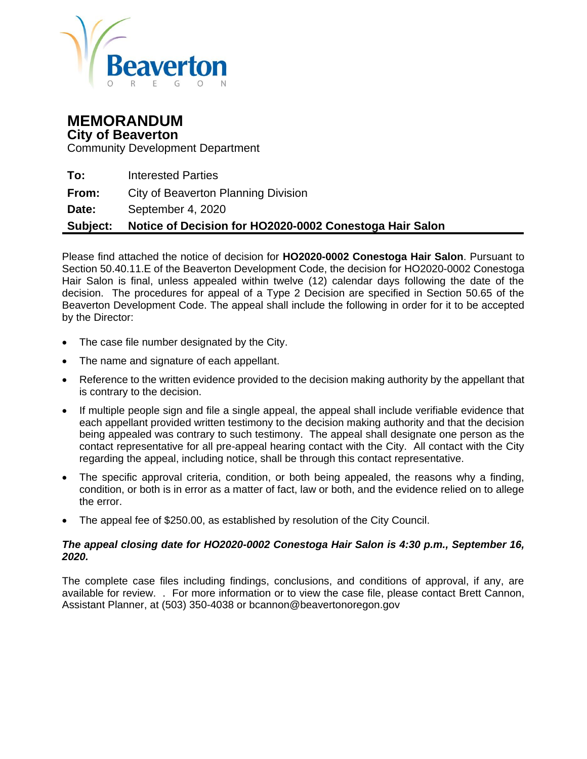

# **MEMORANDUM City of Beaverton**

Community Development Department

**To:** Interested Parties

**From:** City of Beaverton Planning Division

**Date:** September 4, 2020

### **Subject: Notice of Decision for HO2020-0002 Conestoga Hair Salon**

Please find attached the notice of decision for **HO2020-0002 Conestoga Hair Salon**. Pursuant to Section 50.40.11.E of the Beaverton Development Code, the decision for HO2020-0002 Conestoga Hair Salon is final, unless appealed within twelve (12) calendar days following the date of the decision. The procedures for appeal of a Type 2 Decision are specified in Section 50.65 of the Beaverton Development Code. The appeal shall include the following in order for it to be accepted by the Director:

- The case file number designated by the City.
- The name and signature of each appellant.
- Reference to the written evidence provided to the decision making authority by the appellant that is contrary to the decision.
- If multiple people sign and file a single appeal, the appeal shall include verifiable evidence that each appellant provided written testimony to the decision making authority and that the decision being appealed was contrary to such testimony. The appeal shall designate one person as the contact representative for all pre-appeal hearing contact with the City. All contact with the City regarding the appeal, including notice, shall be through this contact representative.
- The specific approval criteria, condition, or both being appealed, the reasons why a finding, condition, or both is in error as a matter of fact, law or both, and the evidence relied on to allege the error.
- The appeal fee of \$250.00, as established by resolution of the City Council.

#### *The appeal closing date for HO2020-0002 Conestoga Hair Salon is 4:30 p.m., September 16, 2020.*

The complete case files including findings, conclusions, and conditions of approval, if any, are available for review. . For more information or to view the case file, please contact Brett Cannon, Assistant Planner, at (503) 350-4038 or bcannon@beavertonoregon.gov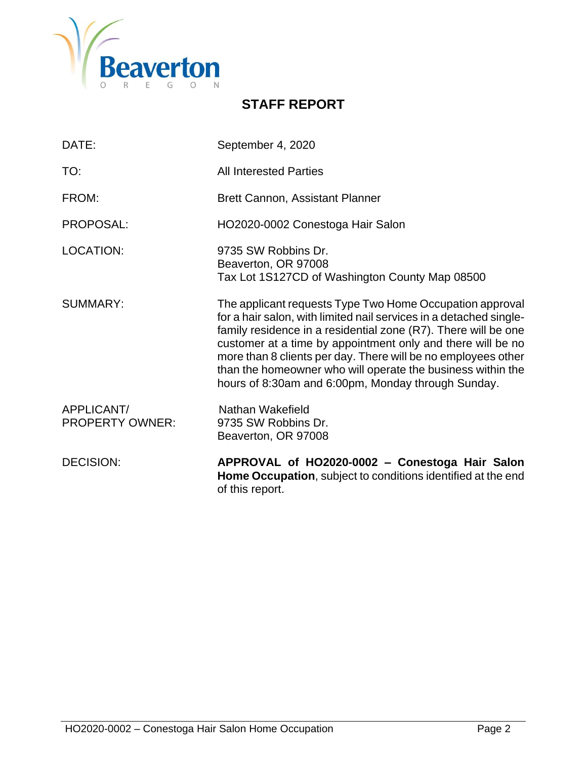

# **STAFF REPORT**

| DATE:                                | September 4, 2020                                                                                                                                                                                                                                                                                                                                                                                                                                     |
|--------------------------------------|-------------------------------------------------------------------------------------------------------------------------------------------------------------------------------------------------------------------------------------------------------------------------------------------------------------------------------------------------------------------------------------------------------------------------------------------------------|
| TO:                                  | <b>All Interested Parties</b>                                                                                                                                                                                                                                                                                                                                                                                                                         |
| FROM:                                | <b>Brett Cannon, Assistant Planner</b>                                                                                                                                                                                                                                                                                                                                                                                                                |
| PROPOSAL:                            | HO2020-0002 Conestoga Hair Salon                                                                                                                                                                                                                                                                                                                                                                                                                      |
| <b>LOCATION:</b>                     | 9735 SW Robbins Dr.<br>Beaverton, OR 97008<br>Tax Lot 1S127CD of Washington County Map 08500                                                                                                                                                                                                                                                                                                                                                          |
| SUMMARY:                             | The applicant requests Type Two Home Occupation approval<br>for a hair salon, with limited nail services in a detached single-<br>family residence in a residential zone (R7). There will be one<br>customer at a time by appointment only and there will be no<br>more than 8 clients per day. There will be no employees other<br>than the homeowner who will operate the business within the<br>hours of 8:30am and 6:00pm, Monday through Sunday. |
| APPLICANT/<br><b>PROPERTY OWNER:</b> | Nathan Wakefield<br>9735 SW Robbins Dr.<br>Beaverton, OR 97008                                                                                                                                                                                                                                                                                                                                                                                        |
| <b>DECISION:</b>                     | APPROVAL of HO2020-0002 - Conestoga Hair Salon<br>Home Occupation, subject to conditions identified at the end<br>of this report.                                                                                                                                                                                                                                                                                                                     |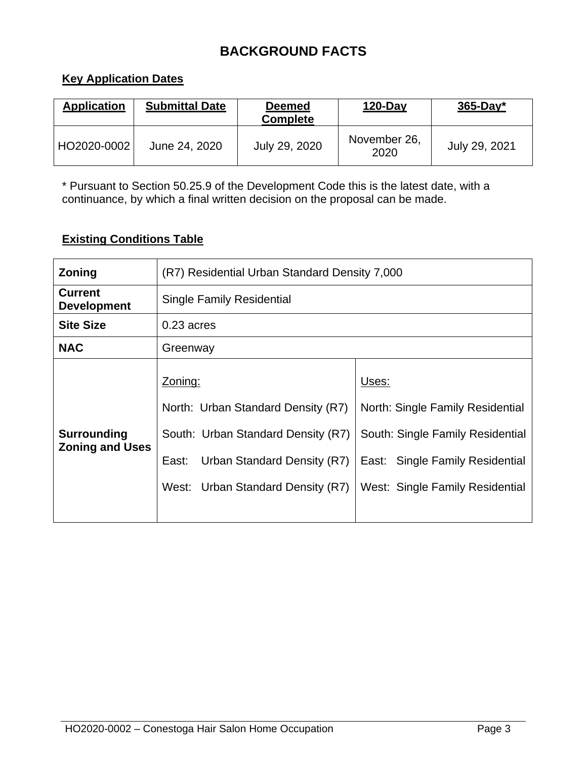# **BACKGROUND FACTS**

# **Key Application Dates**

| <b>Application</b> | <b>Submittal Date</b> | <b>Deemed</b><br><b>Complete</b> | $120$ -Day           | $365$ -Day*   |
|--------------------|-----------------------|----------------------------------|----------------------|---------------|
| HO2020-0002        | June 24, 2020         | July 29, 2020                    | November 26,<br>2020 | July 29, 2021 |

\* Pursuant to Section 50.25.9 of the Development Code this is the latest date, with a continuance, by which a final written decision on the proposal can be made.

# **Existing Conditions Table**

| Zoning                                       | (R7) Residential Urban Standard Density 7,000                                                                                                                    |                                                                                                                                                     |  |  |
|----------------------------------------------|------------------------------------------------------------------------------------------------------------------------------------------------------------------|-----------------------------------------------------------------------------------------------------------------------------------------------------|--|--|
| <b>Current</b><br><b>Development</b>         | <b>Single Family Residential</b>                                                                                                                                 |                                                                                                                                                     |  |  |
| <b>Site Size</b>                             | $0.23$ acres                                                                                                                                                     |                                                                                                                                                     |  |  |
| <b>NAC</b>                                   | Greenway                                                                                                                                                         |                                                                                                                                                     |  |  |
| <b>Surrounding</b><br><b>Zoning and Uses</b> | Zoning:<br>North: Urban Standard Density (R7)<br>South: Urban Standard Density (R7)<br>Urban Standard Density (R7)<br>East:<br>West: Urban Standard Density (R7) | Uses:<br>North: Single Family Residential<br>South: Single Family Residential<br>East: Single Family Residential<br>West: Single Family Residential |  |  |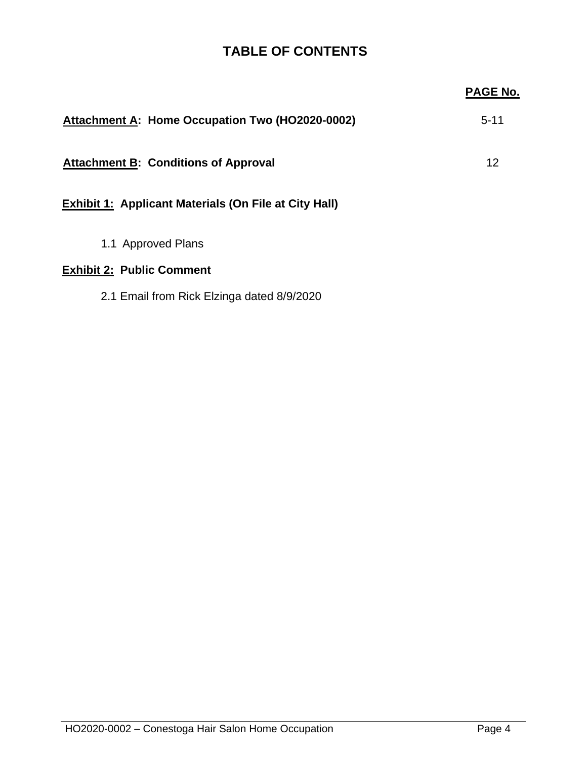# **TABLE OF CONTENTS**

|                                                              | <b>PAGE No.</b> |
|--------------------------------------------------------------|-----------------|
| Attachment A: Home Occupation Two (HO2020-0002)              | $5 - 11$        |
| <b>Attachment B: Conditions of Approval</b>                  | 12              |
| <b>Exhibit 1: Applicant Materials (On File at City Hall)</b> |                 |
| 1.1 Approved Plans                                           |                 |
| <b>Exhibit 2: Public Comment</b>                             |                 |
| 2.1 Email from Rick Elzinga dated 8/9/2020                   |                 |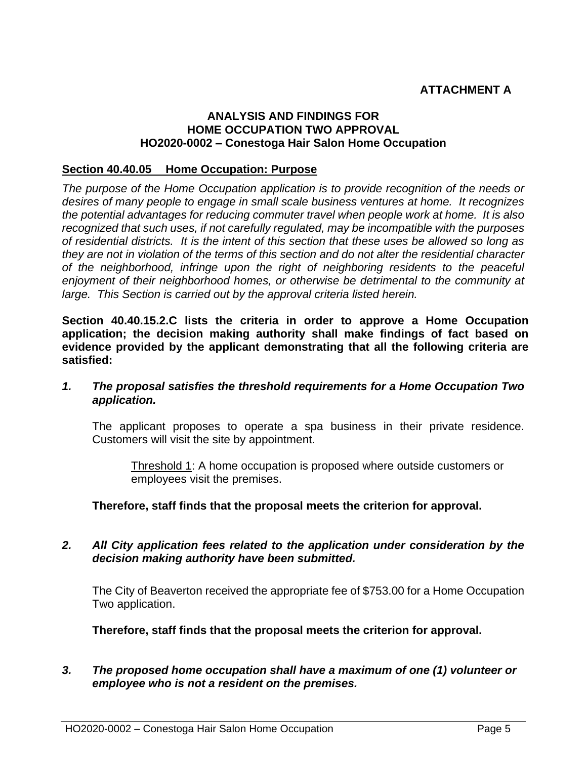# **ATTACHMENT A**

#### **ANALYSIS AND FINDINGS FOR HOME OCCUPATION TWO APPROVAL HO2020-0002 – Conestoga Hair Salon Home Occupation**

#### **Section 40.40.05 Home Occupation: Purpose**

*The purpose of the Home Occupation application is to provide recognition of the needs or desires of many people to engage in small scale business ventures at home. It recognizes the potential advantages for reducing commuter travel when people work at home. It is also recognized that such uses, if not carefully regulated, may be incompatible with the purposes of residential districts. It is the intent of this section that these uses be allowed so long as they are not in violation of the terms of this section and do not alter the residential character of the neighborhood, infringe upon the right of neighboring residents to the peaceful enjoyment of their neighborhood homes, or otherwise be detrimental to the community at large. This Section is carried out by the approval criteria listed herein.*

**Section 40.40.15.2.C lists the criteria in order to approve a Home Occupation application; the decision making authority shall make findings of fact based on evidence provided by the applicant demonstrating that all the following criteria are satisfied:**

#### *1. The proposal satisfies the threshold requirements for a Home Occupation Two application.*

The applicant proposes to operate a spa business in their private residence. Customers will visit the site by appointment.

Threshold 1: A home occupation is proposed where outside customers or employees visit the premises.

**Therefore, staff finds that the proposal meets the criterion for approval.**

### *2. All City application fees related to the application under consideration by the decision making authority have been submitted.*

The City of Beaverton received the appropriate fee of \$753.00 for a Home Occupation Two application.

**Therefore, staff finds that the proposal meets the criterion for approval.**

### *3. The proposed home occupation shall have a maximum of one (1) volunteer or employee who is not a resident on the premises.*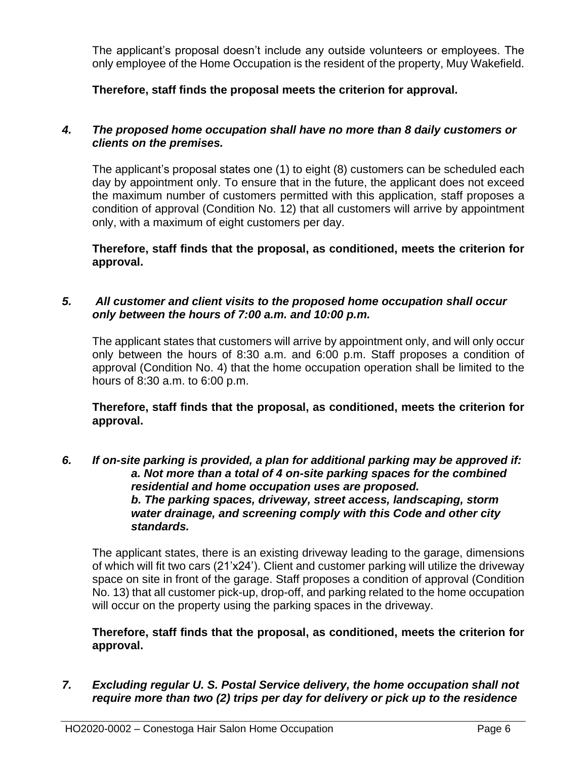The applicant's proposal doesn't include any outside volunteers or employees. The only employee of the Home Occupation is the resident of the property, Muy Wakefield.

**Therefore, staff finds the proposal meets the criterion for approval.**

# *4. The proposed home occupation shall have no more than 8 daily customers or clients on the premises.*

The applicant's proposal states one (1) to eight (8) customers can be scheduled each day by appointment only. To ensure that in the future, the applicant does not exceed the maximum number of customers permitted with this application, staff proposes a condition of approval (Condition No. 12) that all customers will arrive by appointment only, with a maximum of eight customers per day.

**Therefore, staff finds that the proposal, as conditioned, meets the criterion for approval.**

# *5. All customer and client visits to the proposed home occupation shall occur only between the hours of 7:00 a.m. and 10:00 p.m.*

The applicant states that customers will arrive by appointment only, and will only occur only between the hours of 8:30 a.m. and 6:00 p.m. Staff proposes a condition of approval (Condition No. 4) that the home occupation operation shall be limited to the hours of 8:30 a.m. to 6:00 p.m.

**Therefore, staff finds that the proposal, as conditioned, meets the criterion for approval.**

*6. If on-site parking is provided, a plan for additional parking may be approved if: a. Not more than a total of 4 on-site parking spaces for the combined residential and home occupation uses are proposed. b. The parking spaces, driveway, street access, landscaping, storm water drainage, and screening comply with this Code and other city standards.*

The applicant states, there is an existing driveway leading to the garage, dimensions of which will fit two cars (21'x24'). Client and customer parking will utilize the driveway space on site in front of the garage. Staff proposes a condition of approval (Condition No. 13) that all customer pick-up, drop-off, and parking related to the home occupation will occur on the property using the parking spaces in the driveway.

**Therefore, staff finds that the proposal, as conditioned, meets the criterion for approval.**

*7. Excluding regular U. S. Postal Service delivery, the home occupation shall not require more than two (2) trips per day for delivery or pick up to the residence*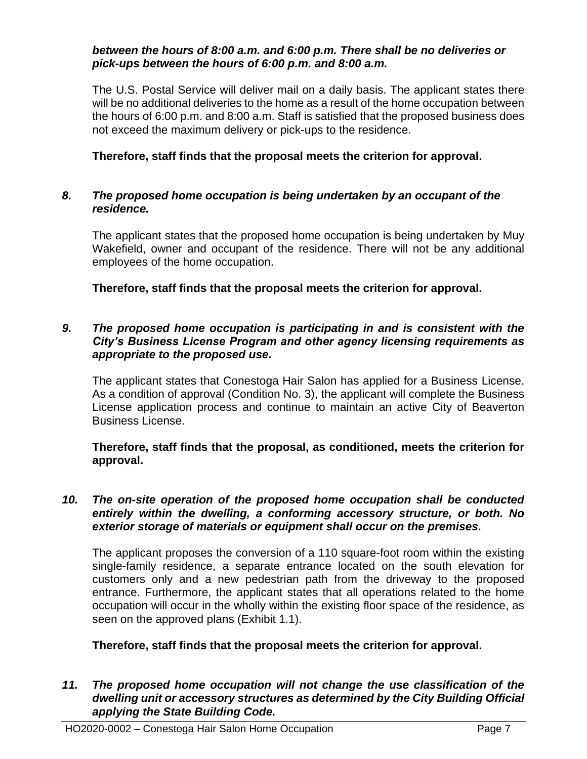#### *between the hours of 8:00 a.m. and 6:00 p.m. There shall be no deliveries or pick-ups between the hours of 6:00 p.m. and 8:00 a.m.*

The U.S. Postal Service will deliver mail on a daily basis. The applicant states there will be no additional deliveries to the home as a result of the home occupation between the hours of 6:00 p.m. and 8:00 a.m. Staff is satisfied that the proposed business does not exceed the maximum delivery or pick-ups to the residence.

## **Therefore, staff finds that the proposal meets the criterion for approval.**

#### *8. The proposed home occupation is being undertaken by an occupant of the residence.*

The applicant states that the proposed home occupation is being undertaken by Muy Wakefield, owner and occupant of the residence. There will not be any additional employees of the home occupation.

**Therefore, staff finds that the proposal meets the criterion for approval.**

## *9. The proposed home occupation is participating in and is consistent with the City's Business License Program and other agency licensing requirements as appropriate to the proposed use.*

The applicant states that Conestoga Hair Salon has applied for a Business License. As a condition of approval (Condition No. 3), the applicant will complete the Business License application process and continue to maintain an active City of Beaverton Business License.

**Therefore, staff finds that the proposal, as conditioned, meets the criterion for approval.**

## *10. The on-site operation of the proposed home occupation shall be conducted entirely within the dwelling, a conforming accessory structure, or both. No exterior storage of materials or equipment shall occur on the premises.*

The applicant proposes the conversion of a 110 square-foot room within the existing single-family residence, a separate entrance located on the south elevation for customers only and a new pedestrian path from the driveway to the proposed entrance. Furthermore, the applicant states that all operations related to the home occupation will occur in the wholly within the existing floor space of the residence, as seen on the approved plans (Exhibit 1.1).

### **Therefore, staff finds that the proposal meets the criterion for approval.**

*11. The proposed home occupation will not change the use classification of the dwelling unit or accessory structures as determined by the City Building Official applying the State Building Code.*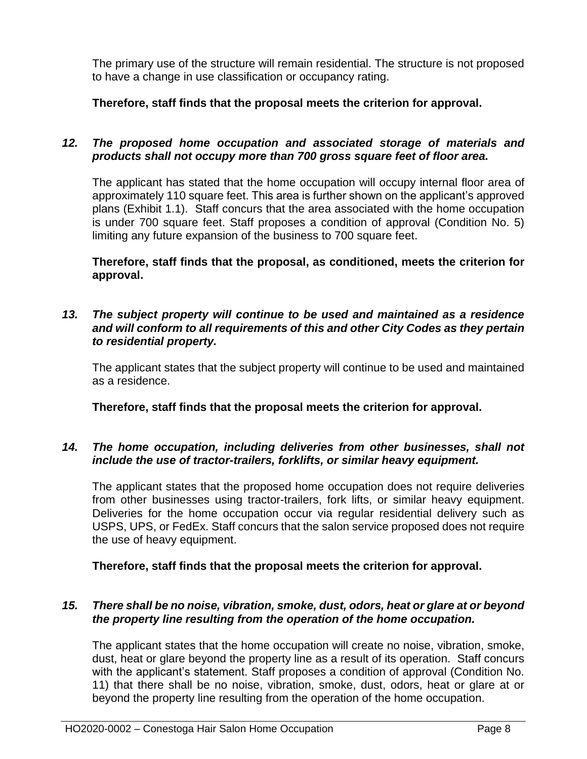The primary use of the structure will remain residential. The structure is not proposed to have a change in use classification or occupancy rating.

**Therefore, staff finds that the proposal meets the criterion for approval.**

## *12. The proposed home occupation and associated storage of materials and products shall not occupy more than 700 gross square feet of floor area.*

The applicant has stated that the home occupation will occupy internal floor area of approximately 110 square feet. This area is further shown on the applicant's approved plans (Exhibit 1.1). Staff concurs that the area associated with the home occupation is under 700 square feet. Staff proposes a condition of approval (Condition No. 5) limiting any future expansion of the business to 700 square feet.

**Therefore, staff finds that the proposal, as conditioned, meets the criterion for approval.**

## *13. The subject property will continue to be used and maintained as a residence and will conform to all requirements of this and other City Codes as they pertain to residential property.*

The applicant states that the subject property will continue to be used and maintained as a residence.

**Therefore, staff finds that the proposal meets the criterion for approval.**

# *14. The home occupation, including deliveries from other businesses, shall not include the use of tractor-trailers, forklifts, or similar heavy equipment.*

The applicant states that the proposed home occupation does not require deliveries from other businesses using tractor-trailers, fork lifts, or similar heavy equipment. Deliveries for the home occupation occur via regular residential delivery such as USPS, UPS, or FedEx. Staff concurs that the salon service proposed does not require the use of heavy equipment.

**Therefore, staff finds that the proposal meets the criterion for approval.**

# *15. There shall be no noise, vibration, smoke, dust, odors, heat or glare at or beyond the property line resulting from the operation of the home occupation.*

The applicant states that the home occupation will create no noise, vibration, smoke, dust, heat or glare beyond the property line as a result of its operation. Staff concurs with the applicant's statement. Staff proposes a condition of approval (Condition No. 11) that there shall be no noise, vibration, smoke, dust, odors, heat or glare at or beyond the property line resulting from the operation of the home occupation.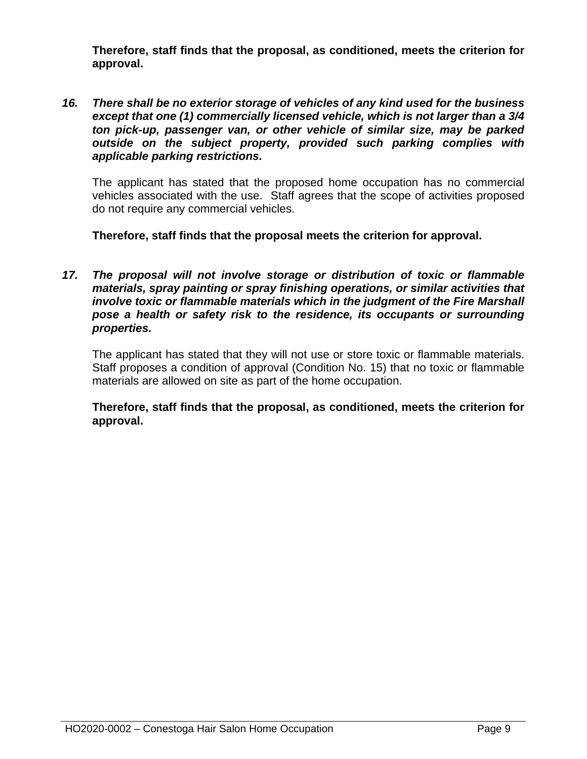**Therefore, staff finds that the proposal, as conditioned, meets the criterion for approval.**

*16. There shall be no exterior storage of vehicles of any kind used for the business except that one (1) commercially licensed vehicle, which is not larger than a 3/4 ton pick-up, passenger van, or other vehicle of similar size, may be parked outside on the subject property, provided such parking complies with applicable parking restrictions.*

The applicant has stated that the proposed home occupation has no commercial vehicles associated with the use. Staff agrees that the scope of activities proposed do not require any commercial vehicles.

**Therefore, staff finds that the proposal meets the criterion for approval.**

*17. The proposal will not involve storage or distribution of toxic or flammable materials, spray painting or spray finishing operations, or similar activities that involve toxic or flammable materials which in the judgment of the Fire Marshall pose a health or safety risk to the residence, its occupants or surrounding properties.*

The applicant has stated that they will not use or store toxic or flammable materials. Staff proposes a condition of approval (Condition No. 15) that no toxic or flammable materials are allowed on site as part of the home occupation.

**Therefore, staff finds that the proposal, as conditioned, meets the criterion for approval.**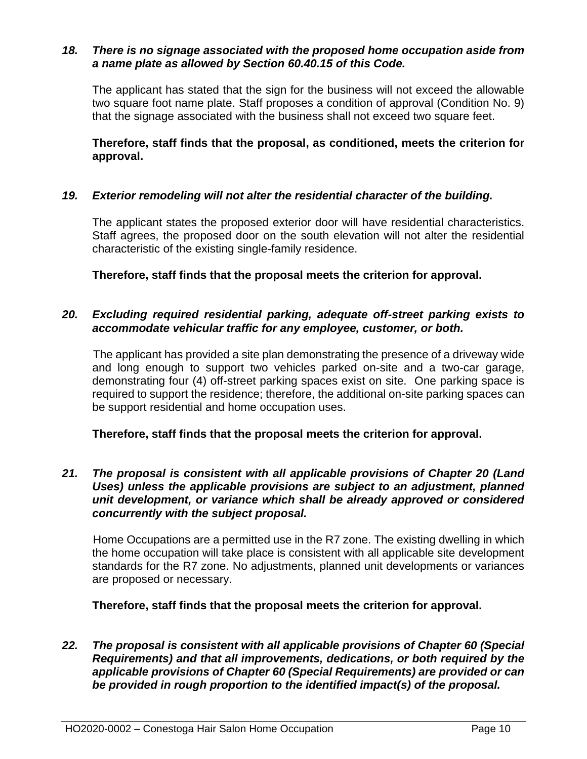#### *18. There is no signage associated with the proposed home occupation aside from a name plate as allowed by Section 60.40.15 of this Code.*

The applicant has stated that the sign for the business will not exceed the allowable two square foot name plate. Staff proposes a condition of approval (Condition No. 9) that the signage associated with the business shall not exceed two square feet.

**Therefore, staff finds that the proposal, as conditioned, meets the criterion for approval.** 

### *19. Exterior remodeling will not alter the residential character of the building.*

The applicant states the proposed exterior door will have residential characteristics. Staff agrees, the proposed door on the south elevation will not alter the residential characteristic of the existing single-family residence.

**Therefore, staff finds that the proposal meets the criterion for approval.** 

## *20. Excluding required residential parking, adequate off-street parking exists to accommodate vehicular traffic for any employee, customer, or both.*

The applicant has provided a site plan demonstrating the presence of a driveway wide and long enough to support two vehicles parked on-site and a two-car garage, demonstrating four (4) off-street parking spaces exist on site. One parking space is required to support the residence; therefore, the additional on-site parking spaces can be support residential and home occupation uses.

# **Therefore, staff finds that the proposal meets the criterion for approval.**

### *21. The proposal is consistent with all applicable provisions of Chapter 20 (Land Uses) unless the applicable provisions are subject to an adjustment, planned unit development, or variance which shall be already approved or considered concurrently with the subject proposal.*

Home Occupations are a permitted use in the R7 zone. The existing dwelling in which the home occupation will take place is consistent with all applicable site development standards for the R7 zone. No adjustments, planned unit developments or variances are proposed or necessary.

**Therefore, staff finds that the proposal meets the criterion for approval.**

*22. The proposal is consistent with all applicable provisions of Chapter 60 (Special Requirements) and that all improvements, dedications, or both required by the applicable provisions of Chapter 60 (Special Requirements) are provided or can be provided in rough proportion to the identified impact(s) of the proposal.*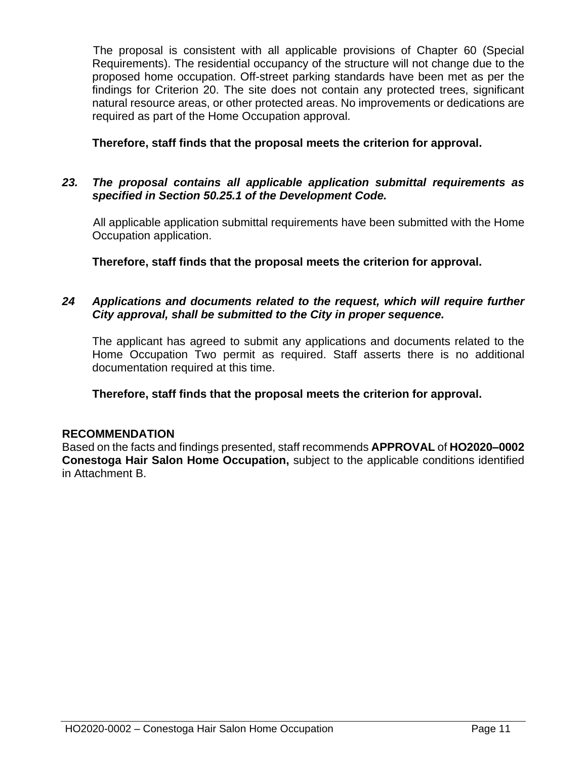The proposal is consistent with all applicable provisions of Chapter 60 (Special Requirements). The residential occupancy of the structure will not change due to the proposed home occupation. Off-street parking standards have been met as per the findings for Criterion 20. The site does not contain any protected trees, significant natural resource areas, or other protected areas. No improvements or dedications are required as part of the Home Occupation approval.

**Therefore, staff finds that the proposal meets the criterion for approval.**

# *23. The proposal contains all applicable application submittal requirements as specified in Section 50.25.1 of the Development Code.*

All applicable application submittal requirements have been submitted with the Home Occupation application.

**Therefore, staff finds that the proposal meets the criterion for approval.**

## *24 Applications and documents related to the request, which will require further City approval, shall be submitted to the City in proper sequence.*

The applicant has agreed to submit any applications and documents related to the Home Occupation Two permit as required. Staff asserts there is no additional documentation required at this time.

**Therefore, staff finds that the proposal meets the criterion for approval.**

# **RECOMMENDATION**

Based on the facts and findings presented, staff recommends **APPROVAL** of **HO2020–0002 Conestoga Hair Salon Home Occupation,** subject to the applicable conditions identified in Attachment B.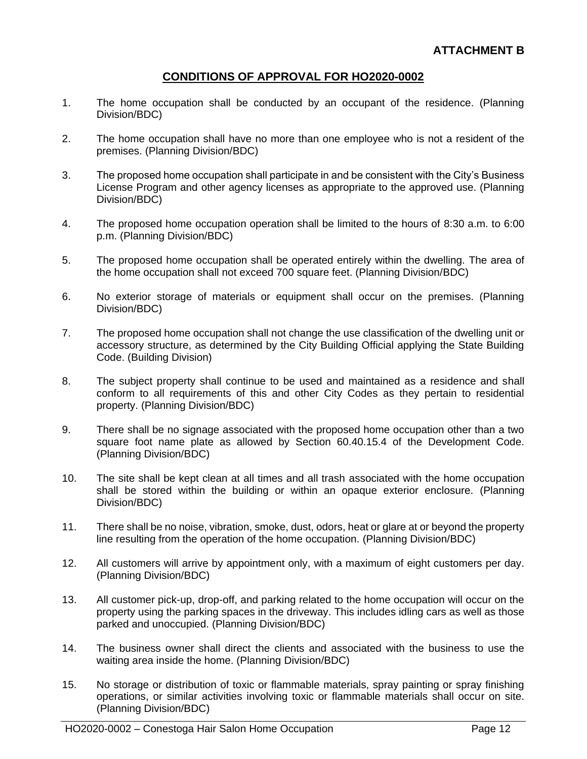# **CONDITIONS OF APPROVAL FOR HO2020-0002**

- 1. The home occupation shall be conducted by an occupant of the residence. (Planning Division/BDC)
- 2. The home occupation shall have no more than one employee who is not a resident of the premises. (Planning Division/BDC)
- 3. The proposed home occupation shall participate in and be consistent with the City's Business License Program and other agency licenses as appropriate to the approved use. (Planning Division/BDC)
- 4. The proposed home occupation operation shall be limited to the hours of 8:30 a.m. to 6:00 p.m. (Planning Division/BDC)
- 5. The proposed home occupation shall be operated entirely within the dwelling. The area of the home occupation shall not exceed 700 square feet. (Planning Division/BDC)
- 6. No exterior storage of materials or equipment shall occur on the premises. (Planning Division/BDC)
- 7. The proposed home occupation shall not change the use classification of the dwelling unit or accessory structure, as determined by the City Building Official applying the State Building Code. (Building Division)
- 8. The subject property shall continue to be used and maintained as a residence and shall conform to all requirements of this and other City Codes as they pertain to residential property. (Planning Division/BDC)
- 9. There shall be no signage associated with the proposed home occupation other than a two square foot name plate as allowed by Section 60.40.15.4 of the Development Code. (Planning Division/BDC)
- 10. The site shall be kept clean at all times and all trash associated with the home occupation shall be stored within the building or within an opaque exterior enclosure. (Planning Division/BDC)
- 11. There shall be no noise, vibration, smoke, dust, odors, heat or glare at or beyond the property line resulting from the operation of the home occupation. (Planning Division/BDC)
- 12. All customers will arrive by appointment only, with a maximum of eight customers per day. (Planning Division/BDC)
- 13. All customer pick-up, drop-off, and parking related to the home occupation will occur on the property using the parking spaces in the driveway. This includes idling cars as well as those parked and unoccupied. (Planning Division/BDC)
- 14. The business owner shall direct the clients and associated with the business to use the waiting area inside the home. (Planning Division/BDC)
- 15. No storage or distribution of toxic or flammable materials, spray painting or spray finishing operations, or similar activities involving toxic or flammable materials shall occur on site. (Planning Division/BDC)